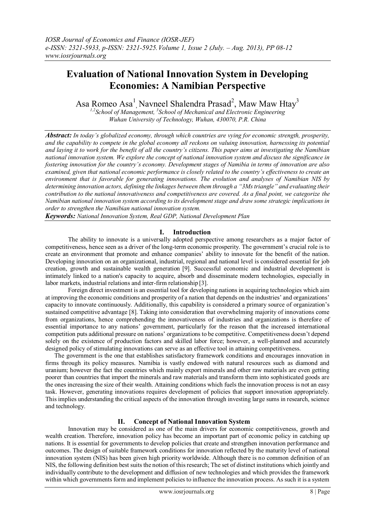# **Evaluation of National Innovation System in Developing Economies: A Namibian Perspective**

Asa Romeo Asa<sup>1</sup>, Navneel Shalendra Prasad<sup>2</sup>, Maw Maw Htay<sup>3</sup>

<sup>1,2</sup> School of Management, <sup>3</sup> School of Mechanical and Electronic Engineering *Wuhan University of Technology, Wuhan, 430070, P.R. China*

*Abstract: In today's globalized economy, through which countries are vying for economic strength, prosperity, and the capability to compete in the global economy all reckons on valuing innovation, harnessing its potential and laying it to work for the benefit of all the country's citizens. This paper aims at investigating the Namibian national innovation system. We explore the concept of national innovation system and discuss the significance in fostering innovation for the country's economy. Development stages of Namibia in terms of innovation are also examined, given that national economic performance is closely related to the country's effectiveness to create an environment that is favorable for generating innovations. The evolution and analyses of Namibian NIS by determining innovation actors, defining the linkages between them through a "3Ms triangle" and evaluating their contribution to the national innovativeness and competitiveness are covered. As a final point, we categorize the Namibian national innovation system according to its development stage and draw some strategic implications in order to strengthen the Namibian national innovation system.*

*Keywords: National Innovation System, Real GDP, National Development Plan*

## **I. Introduction**

The ability to innovate is a universally adopted perspective among researchers as a major factor of competitiveness, hence seen as a driver of the long-term economic prosperity. The government's crucial role is to create an environment that promote and enhance companies' ability to innovate for the benefit of the nation. Developing innovation on an organizational, industrial, regional and national level is considered essential for job creation, growth and sustainable wealth generation [9]. Successful economic and industrial development is intimately linked to a nation's capacity to acquire, absorb and disseminate modern technologies, especially in labor markets, industrial relations and inter-firm relationship [3].

Foreign direct investment is an essential tool for developing nations in acquiring technologies which aim at improving the economic conditions and prosperity of a nation that depends on the industries' and organizations' capacity to innovate continuously. Additionally, this capability is considered a primary source of organization's sustained competitive advantage [8]. Taking into consideration that overwhelming majority of innovations come from organizations, hence comprehending the innovativeness of industries and organizations is therefore of essential importance to any nations' government, particularly for the reason that the increased international competition puts additional pressure on nations' organizations to be competitive. Competitiveness doesn't depend solely on the existence of production factors and skilled labor force; however, a well-planned and accurately designed policy of stimulating innovations can serve as an effective tool in attaining competitiveness.

The government is the one that establishes satisfactory framework conditions and encourages innovation in firms through its policy measures. Namibia is vastly endowed with natural resources such as diamond and uranium; however the fact the countries which mainly export minerals and other raw materials are even getting poorer than countries that import the minerals and raw materials and transform them into sophisticated goods are the ones increasing the size of their wealth. Attaining conditions which fuels the innovation process is not an easy task. However, generating innovations requires development of policies that support innovation appropriately. This implies understanding the critical aspects of the innovation through investing large sums in research, science and technology.

# **II. Concept of National Innovation System**

Innovation may be considered as one of the main drivers for economic competitiveness, growth and wealth creation. Therefore, innovation policy has become an important part of economic policy in catching up nations. It is essential for governments to develop policies that create and strengthen innovation performance and outcomes. The design of suitable framework conditions for innovation reflected by the maturity level of national innovation system (NIS) has been given high priority worldwide. Although there is no common definition of an NIS, the following definition best suits the notion of this research; The set of distinct institutions which jointly and individually contribute to the development and diffusion of new technologies and which provides the framework within which governments form and implement policies to influence the innovation process. As such it is a system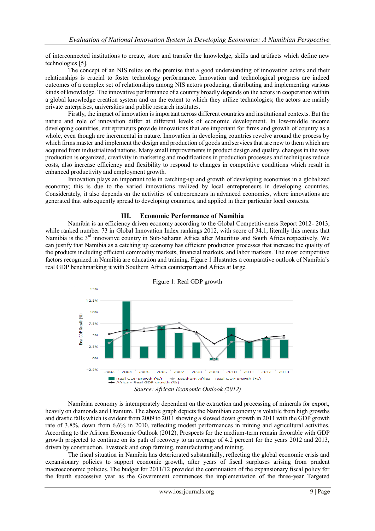of interconnected institutions to create, store and transfer the knowledge, skills and artifacts which define new technologies [5].

The concept of an NIS relies on the premise that a good understanding of innovation actors and their relationships is crucial to foster technology performance. Innovation and technological progress are indeed outcomes of a complex set of relationships among NIS actors producing, distributing and implementing various kinds of knowledge. The innovative performance of a country broadly depends on the actors in cooperation within a global knowledge creation system and on the extent to which they utilize technologies; the actors are mainly private enterprises, universities and public research institutes.

Firstly, the impact of innovation is important across different countries and institutional contexts. But the nature and role of innovation differ at different levels of economic development. In low-middle income developing countries, entrepreneurs provide innovations that are important for firms and growth of country as a whole, even though are incremental in nature. Innovation in developing countries revolve around the process by which firms master and implement the design and production of goods and services that are new to them which are acquired from industrialized nations. Many small improvements in product design and quality, changes in the way production is organized, creativity in marketing and modifications in production processes and techniques reduce costs, also increase efficiency and flexibility to respond to changes in competitive conditions which result in enhanced productivity and employment growth.

Innovation plays an important role in catching-up and growth of developing economies in a globalized economy; this is due to the varied innovations realized by local entrepreneurs in developing countries. Considerately, it also depends on the activities of entrepreneurs in advanced economies, where innovations are generated that subsequently spread to developing countries, and applied in their particular local contexts.

### **III. Economic Performance of Namibia**

Namibia is an efficiency driven economy according to the Global Competitiveness Report 2012- 2013, while ranked number 73 in Global Innovation Index rankings 2012, with score of 34.1, literally this means that Namibia is the 3rd innovative country in Sub-Saharan Africa after Mauritius and South Africa respectively. We can justify that Namibia as a catching up economy has efficient production processes that increase the quality of the products including efficient commodity markets, financial markets, and labor markets. The most competitive factors recognized in Namibia are education and training. Figure 1 illustrates a comparative outlook of Namibia's real GDP benchmarking it with Southern Africa counterpart and Africa at large.



Figure 1: Real GDP growth

*Source: African Economic Outlook (2012)*

Namibian economy is intemperately dependent on the extraction and processing of minerals for export, heavily on diamonds and Uranium. The above graph depicts the Namibian economy is volatile from high growths and drastic falls which is evident from 2009 to 2011 showing a slowed down growth in 2011 with the GDP growth rate of 3.8%, down from 6.6% in 2010, reflecting modest performances in mining and agricultural activities. According to the African Economic Outlook (2012), Prospects for the medium-term remain favorable with GDP growth projected to continue on its path of recovery to an average of 4.2 percent for the years 2012 and 2013, driven by construction, livestock and crop farming, manufacturing and mining.

The fiscal situation in Namibia has deteriorated substantially, reflecting the global economic crisis and expansionary policies to support economic growth, after years of fiscal surpluses arising from prudent macroeconomic policies. The budget for 2011/12 provided the continuation of the expansionary fiscal policy for the fourth successive year as the Government commences the implementation of the three-year Targeted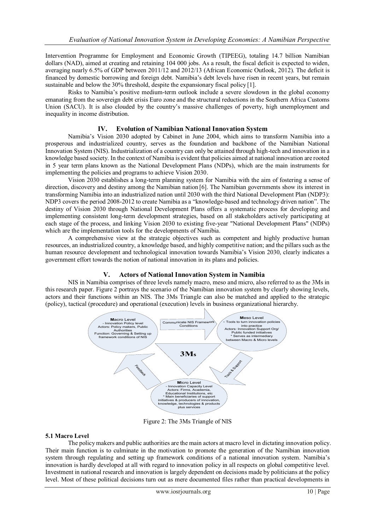Intervention Programme for Employment and Economic Growth (TIPEEG), totaling 14.7 billion Namibian dollars (NAD), aimed at creating and retaining 104 000 jobs. As a result, the fiscal deficit is expected to widen, averaging nearly 6.5% of GDP between 2011/12 and 2012/13 (African Economic Outlook, 2012). The deficit is financed by domestic borrowing and foreign debt. Namibia's debt levels have risen in recent years, but remain sustainable and below the 30% threshold, despite the expansionary fiscal policy [1].

Risks to Namibia's positive medium-term outlook include a severe slowdown in the global economy emanating from the sovereign debt crisis Euro zone and the structural reductions in the Southern Africa Customs Union (SACU). It is also clouded by the country's massive challenges of poverty, high unemployment and inequality in income distribution.

## **IV. Evolution of Namibian National Innovation System**

Namibia's Vision 2030 adopted by Cabinet in June 2004, which aims to transform Namibia into a prosperous and industrialized country, serves as the foundation and backbone of the Namibian National Innovation System (NIS). Industrialization of a country can only be attained through high-tech and innovation in a knowledge based society. In the context of Namibia is evident that policies aimed at national innovation are rooted in 5 year term plans known as the National Development Plans (NDPs), which are the main instruments for implementing the policies and programs to achieve Vision 2030.

Vision 2030 establishes a long-term planning system for Namibia with the aim of fostering a sense of direction, discovery and destiny among the Namibian nation [6]. The Namibian governments show its interest in transforming Namibia into an industrialized nation until 2030 with the third National Development Plan (NDP3): NDP3 covers the period 2008-2012 to create Namibia as a "knowledge-based and technology driven nation". The destiny of Vision 2030 through National Development Plans offers a systematic process for developing and implementing consistent long-term development strategies, based on all stakeholders actively participating at each stage of the process, and linking Vision 2030 to existing five-year "National Development Plans" (NDPs) which are the implementation tools for the developments of Namibia.

A comprehensive view at the strategic objectives such as competent and highly productive human resources, an industrialized country, a knowledge based, and highly competitive nation; and the pillars such as the human resource development and technological innovation towards Namibia's Vision 2030, clearly indicates a government effort towards the notion of national innovation in its plans and policies.

# **V. Actors of National Innovation System in Namibia**

NIS in Namibia comprises of three levels namely macro, meso and micro, also referred to as the 3Ms in this research paper. Figure 2 portrays the scenario of the Namibian innovation system by clearly showing levels, actors and their functions within an NIS. The 3Ms Triangle can also be matched and applied to the strategic (policy), tactical (procedure) and operational (execution) levels in business organizational hierarchy.



Figure 2: The 3Ms Triangle of NIS

### **5.1 Macro Level**

The policy makers and public authorities are the main actors at macro level in dictating innovation policy. Their main function is to culminate in the motivation to promote the generation of the Namibian innovation system through regulating and setting up framework conditions of a national innovation system. Namibia's innovation is hardly developed at all with regard to innovation policy in all respects on global competitive level. Investment in national research and innovation is largely dependent on decisions made by politicians at the policy level. Most of these political decisions turn out as mere documented files rather than practical developments in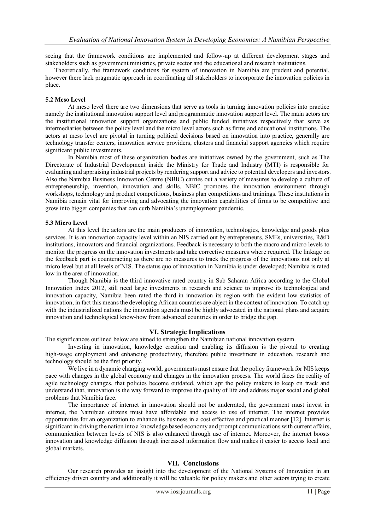seeing that the framework conditions are implemented and follow-up at different development stages and stakeholders such as government ministries, private sector and the educational and research institutions.

Theoretically, the framework conditions for system of innovation in Namibia are prudent and potential, however there lack pragmatic approach in coordinating all stakeholders to incorporate the innovation policies in place.

#### **5.2 Meso Level**

At meso level there are two dimensions that serve as tools in turning innovation policies into practice namely the institutional innovation support level and programmatic innovation support level. The main actors are the institutional innovation support organizations and public funded initiatives respectively that serve as intermediaries between the policy level and the micro level actors such as firms and educational institutions. The actors at meso level are pivotal in turning political decisions based on innovation into practice, generally are technology transfer centers, innovation service providers, clusters and financial support agencies which require significant public investments.

In Namibia most of these organization bodies are initiatives owned by the government, such as The Directorate of Industrial Development inside the Ministry for Trade and Industry (MTI) is responsible for evaluating and appraising industrial projects by rendering support and advice to potential developers and investors. Also the Namibia Business Innovation Centre (NBIC) carries out a variety of measures to develop a culture of entrepreneurship, invention, innovation and skills. NBIC promotes the innovation environment through workshops, technology and product competitions, business plan competitions and trainings. These institutions in Namibia remain vital for improving and advocating the innovation capabilities of firms to be competitive and grow into bigger companies that can curb Namibia's unemployment pandemic.

#### **5.3 Micro Level**

At this level the actors are the main producers of innovation, technologies, knowledge and goods plus services. It is an innovation capacity level within an NIS carried out by entrepreneurs, SMEs, universities, R&D institutions, innovators and financial organizations. Feedback is necessary to both the macro and micro levels to monitor the progress on the innovation investments and take corrective measures where required. The linkage on the feedback part is counteracting as there are no measures to track the progress of the innovations not only at micro level but at all levels of NIS. The status quo of innovation in Namibia is under developed; Namibia is rated low in the area of innovation.

Though Namibia is the third innovative rated country in Sub Saharan Africa according to the Global Innovation Index 2012, still need large investments in research and science to improve its technological and innovation capacity, Namibia been rated the third in innovation its region with the evident low statistics of innovation, in fact this means the developing African countries are abject in the context of innovation. To catch up with the industrialized nations the innovation agenda must be highly advocated in the national plans and acquire innovation and technological know-how from advanced countries in order to bridge the gap.

### **VI. Strategic Implications**

The significances outlined below are aimed to strengthen the Namibian national innovation system.

Investing in innovation, knowledge creation and enabling its diffusion is the pivotal to creating high-wage employment and enhancing productivity, therefore public investment in education, research and technology should be the first priority.

We live in a dynamic changing world; governments must ensure that the policy framework for NIS keeps pace with changes in the global economy and changes in the innovation process. The world faces the reality of agile technology changes, that policies become outdated, which apt the policy makers to keep on track and understand that, innovation is the way forward to improve the quality of life and address major social and global problems that Namibia face.

The importance of internet in innovation should not be underrated, the government must invest in internet, the Namibian citizens must have affordable and access to use of internet. The internet provides opportunities for an organization to enhance its business in a cost effective and practical manner [12]. Internet is significant in driving the nation into a knowledge based economy and prompt communications with current affairs, communication between levels of NIS is also enhanced through use of internet. Moreover, the internet boosts innovation and knowledge diffusion through increased information flow and makes it easier to access local and global markets.

### **VII. Conclusions**

Our research provides an insight into the development of the National Systems of Innovation in an efficiency driven country and additionally it will be valuable for policy makers and other actors trying to create